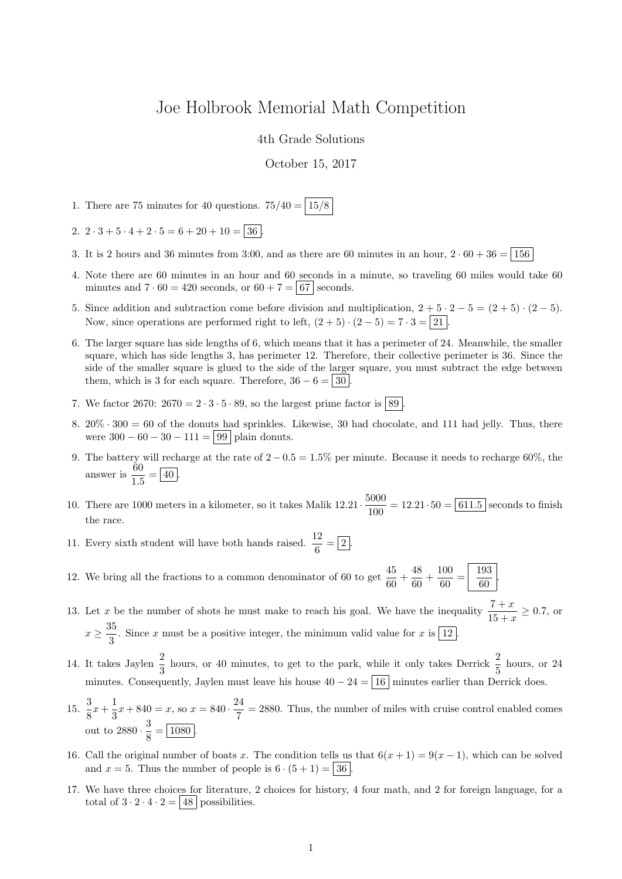## Joe Holbrook Memorial Math Competition

4th Grade Solutions

## October 15, 2017

- 1. There are 75 minutes for 40 questions.  $75/40 = 15/8$
- 2.  $2 \cdot 3 + 5 \cdot 4 + 2 \cdot 5 = 6 + 20 + 10 = 36$
- 3. It is 2 hours and 36 minutes from 3:00, and as there are 60 minutes in an hour,  $2 \cdot 60 + 36 = 156$
- 4. Note there are 60 minutes in an hour and 60 seconds in a minute, so traveling 60 miles would take 60 minutes and  $7 \cdot 60 = 420$  seconds, or  $60 + 7 = 67$  seconds.
- 5. Since addition and subtraction come before division and multiplication,  $2 + 5 \cdot 2 5 = (2 + 5) \cdot (2 5)$ . Now, since operations are performed right to left,  $(2+5) \cdot (2-5) = 7 \cdot 3 = 21$ .
- 6. The larger square has side lengths of 6, which means that it has a perimeter of 24. Meanwhile, the smaller square, which has side lengths 3, has perimeter 12. Therefore, their collective perimeter is 36. Since the side of the smaller square is glued to the side of the larger square, you must subtract the edge between them, which is 3 for each square. Therefore,  $36 - 6 = |30|$
- 7. We factor 2670:  $2670 = 2 \cdot 3 \cdot 5 \cdot 89$ , so the largest prime factor is  $\boxed{89}$
- 8.  $20\% \cdot 300 = 60$  of the donuts had sprinkles. Likewise, 30 had chocolate, and 111 had jelly. Thus, there were  $300 - 60 - 30 - 111 = 99$  plain donuts.
- 9. The battery will recharge at the rate of  $2 0.5 = 1.5\%$  per minute. Because it needs to recharge 60%, the answer is  $\frac{60}{15}$  $\frac{00}{1.5} = 40$ .
- 10. There are 1000 meters in a kilometer, so it takes Malik  $12.21 \cdot \frac{5000}{1000}$  $\frac{1000}{100}$  = 12.21 · 50 = 611.5 seconds to finish the race.
- 11. Every sixth student will have both hands raised.  $\frac{12}{6} = \boxed{2}$ .
- 12. We bring all the fractions to a common denominator of 60 to get  $\frac{45}{60} + \frac{48}{60}$  $\frac{48}{60} + \frac{100}{60}$  $\frac{100}{60} = \frac{193}{60}$  $\frac{100}{60}$
- 13. Let x be the number of shots he must make to reach his goal. We have the inequality  $\frac{7+x}{15+x} \ge 0.7$ , or  $x\geq \frac{35}{8}$  $\frac{3}{3}$ . Since x must be a positive integer, the minimum valid value for x is  $\boxed{12}$ .
- 14. It takes Jaylen  $\frac{2}{3}$  hours, or 40 minutes, to get to the park, while it only takes Derrick  $\frac{2}{5}$  hours, or 24 minutes. Consequently, Jaylen must leave his house  $40 - 24 = \boxed{16}$  minutes earlier than Derrick does.
- 15.  $\frac{3}{8}$  $\frac{3}{8}x + \frac{1}{3}$  $\frac{1}{3}x + 840 = x$ , so  $x = 840 \cdot \frac{24}{7}$  $\frac{27}{7}$  = 2880. Thus, the number of miles with cruise control enabled comes out to  $2880 \cdot \frac{3}{8}$  $\frac{8}{8} = \boxed{1080}.$
- 16. Call the original number of boats x. The condition tells us that  $6(x + 1) = 9(x 1)$ , which can be solved and  $x = 5$ . Thus the number of people is  $6 \cdot (5 + 1) = 36$ .
- 17. We have three choices for literature, 2 choices for history, 4 four math, and 2 for foreign language, for a total of  $3 \cdot 2 \cdot 4 \cdot 2 = 48$  possibilities.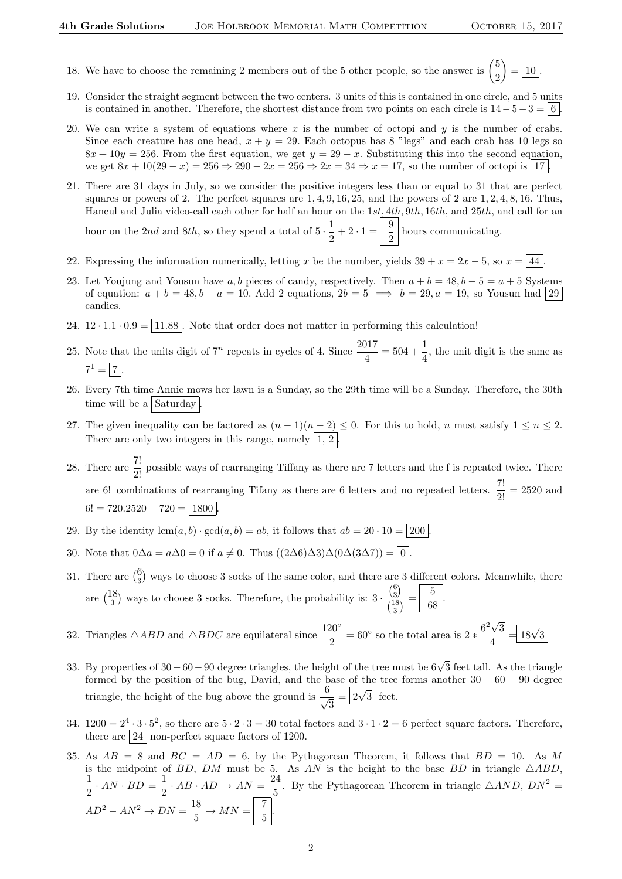- 18. We have to choose the remaining 2 members out of the 5 other people, so the answer is  $\binom{5}{3}$ 2  $\left( \right) = \boxed{10}$ .
- 19. Consider the straight segment between the two centers. 3 units of this is contained in one circle, and 5 units is contained in another. Therefore, the shortest distance from two points on each circle is  $14-5-3=6$ .
- 20. We can write a system of equations where x is the number of octopi and y is the number of crabs. Since each creature has one head,  $x + y = 29$ . Each octopus has 8 "legs" and each crab has 10 legs so  $8x + 10y = 256$ . From the first equation, we get  $y = 29 - x$ . Substituting this into the second equation, we get  $8x + 10(29 - x) = 256 \Rightarrow 290 - 2x = 256 \Rightarrow 2x = 34 \Rightarrow x = 17$ , so the number of octopi is 17.
- 21. There are 31 days in July, so we consider the positive integers less than or equal to 31 that are perfect squares or powers of 2. The perfect squares are  $1, 4, 9, 16, 25$ , and the powers of 2 are  $1, 2, 4, 8, 16$ . Thus, Haneul and Julia video-call each other for half an hour on the 1st, 4th, 9th, 16th, and 25th, and call for an hour on the 2nd and 8th, so they spend a total of  $5 \cdot \frac{1}{2}$  $\frac{1}{2} + 2 \cdot 1 = \frac{9}{2}$  $\frac{3}{2}$  hours communicating.
- 22. Expressing the information numerically, letting x be the number, yields  $39 + x = 2x 5$ , so  $x = \boxed{44}$ .
- 23. Let Youjung and Yousun have a, b pieces of candy, respectively. Then  $a + b = 48$ ,  $b 5 = a + 5$  Systems of equation:  $a + b = 48$ ,  $b - a = 10$ . Add 2 equations,  $2b = 5 \implies b = 29$ ,  $a = 19$ , so Yousun had 29 candies.
- 24.  $12 \cdot 1.1 \cdot 0.9 = \boxed{11.88}$ . Note that order does not matter in performing this calculation!
- 25. Note that the units digit of  $7^n$  repeats in cycles of 4. Since  $\frac{2017}{4} = 504 + \frac{1}{4}$ , the unit digit is the same as  $7^1 = 7.$
- 26. Every 7th time Annie mows her lawn is a Sunday, so the 29th time will be a Sunday. Therefore, the 30th time will be a Saturday
- 27. The given inequality can be factored as  $(n-1)(n-2) \le 0$ . For this to hold, n must satisfy  $1 \le n \le 2$ . There are only two integers in this range, namely  $\vert 1, 2 \vert$ .
- 28. There are  $\frac{7!}{2!}$  possible ways of rearranging Tiffany as there are 7 letters and the f is repeated twice. There are 6! combinations of rearranging Tifany as there are 6 letters and no repeated letters.  $\frac{7!}{2!} = 2520$  and  $6! = 720.2520 - 720 = \boxed{1800}$
- 29. By the identity  $lcm(a, b) \cdot \gcd(a, b) = ab$ , it follows that  $ab = 20 \cdot 10 = 200$
- 30. Note that  $0\Delta a = a\Delta 0 = 0$  if  $a \neq 0$ . Thus  $((2\Delta 6)\Delta 3)\Delta (0\Delta (3\Delta 7)) = 0$ .
- 31. There are  $\binom{6}{3}$  ways to choose 3 socks of the same color, and there are 3 different colors. Meanwhile, there are  $\binom{18}{3}$  ways to choose 3 socks. Therefore, the probability is: 3.  $\binom{6}{3}$  $\frac{\binom{6}{3}}{\binom{18}{3}} = \frac{5}{68}$ 3  $\frac{6}{68}$
- 32. Triangles  $\triangle ABD$  and  $\triangle BDC$  are equilateral since  $\frac{120^{\circ}}{2} = 60^{\circ}$  so the total area is  $2 * \frac{6^2 \sqrt{3}}{4}$ 3  $\frac{\sqrt{3}}{4} = \boxed{18\sqrt{3}}$
- 33. By properties of 30 60 90 degree triangles, the height of the tree must be 6√3 feet tall. As the triangle formed by the position of the bug, David, and the base of the tree forms another  $30 - 60 - 90$  degree triangle, the height of the bug above the ground is  $\frac{6}{4}$  $\frac{3}{3} = \boxed{2\sqrt{3}}$  feet.
- 34.  $1200 = 2^4 \cdot 3 \cdot 5^2$ , so there are  $5 \cdot 2 \cdot 3 = 30$  total factors and  $3 \cdot 1 \cdot 2 = 6$  perfect square factors. Therefore, there are  $\boxed{24}$  non-perfect square factors of 1200.
- 35. As  $AB = 8$  and  $BC = AD = 6$ , by the Pythagorean Theorem, it follows that  $BD = 10$ . As M is the midpoint of BD, DM must be 5. As AN is the height to the base BD in triangle  $\triangle ABD$ , 1  $\frac{1}{2} \cdot AN \cdot BD = \frac{1}{2}$  $rac{1}{2} \cdot AB \cdot AD \rightarrow AN = \frac{24}{5}$  $\frac{24}{5}$ . By the Pythagorean Theorem in triangle  $\triangle AND$ ,  $DN^2 =$  $AD^2 - AN^2 \rightarrow DN = \frac{18}{5}$  $rac{18}{5}$   $\rightarrow$   $MN = \begin{bmatrix} 7 \\ 5 \end{bmatrix}$  $\frac{1}{5}$